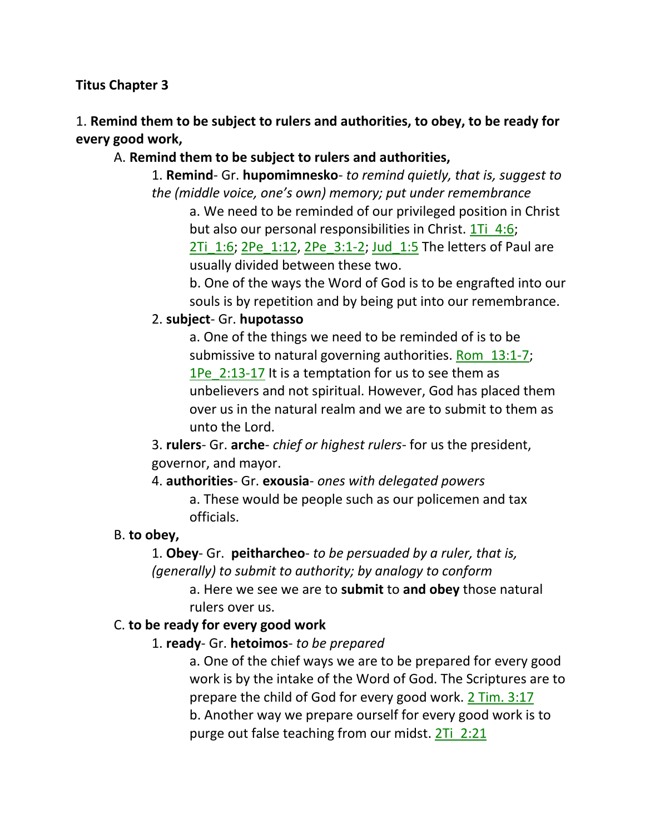#### **Titus Chapter 3**

### 1. **Remind them to be subject to rulers and authorities, to obey, to be ready for every good work,**

#### A. **Remind them to be subject to rulers and authorities,**

1. **Remind**- Gr. **hupomimnesko**- *to remind quietly, that is, suggest to the (middle voice, one's own) memory; put under remembrance*

a. We need to be reminded of our privileged position in Christ but also our personal responsibilities in Christ. 1Ti 4:6; 2Ti 1:6; 2Pe 1:12, 2Pe 3:1-2; Jud 1:5 The letters of Paul are

usually divided between these two.

b. One of the ways the Word of God is to be engrafted into our souls is by repetition and by being put into our remembrance.

#### 2. **subject**- Gr. **hupotasso**

a. One of the things we need to be reminded of is to be submissive to natural governing authorities. Rom 13:1-7; 1Pe\_2:13-17 It is a temptation for us to see them as unbelievers and not spiritual. However, God has placed them over us in the natural realm and we are to submit to them as unto the Lord.

3. **rulers**- Gr. **arche**- *chief or highest rulers*- for us the president, governor, and mayor.

4. **authorities**- Gr. **exousia**- *ones with delegated powers*

a. These would be people such as our policemen and tax officials.

#### B. **to obey,**

1. **Obey**- Gr. **peitharcheo**- *to be persuaded by a ruler, that is, (generally) to submit to authority; by analogy to conform*

> a. Here we see we are to **submit** to **and obey** those natural rulers over us.

#### C. **to be ready for every good work**

1. **ready**- Gr. **hetoimos**- *to be prepared*

a. One of the chief ways we are to be prepared for every good work is by the intake of the Word of God. The Scriptures are to prepare the child of God for every good work. 2 Tim. 3:17 b. Another way we prepare ourself for every good work is to purge out false teaching from our midst. 2Ti\_2:21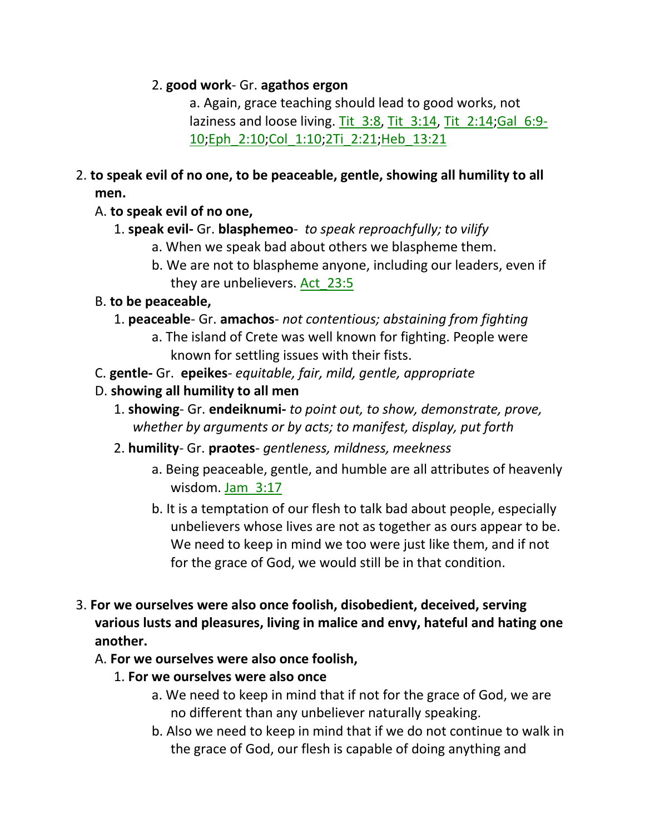#### 2. **good work**- Gr. **agathos ergon**

a. Again, grace teaching should lead to good works, not laziness and loose living. Tit\_3:8, Tit\_3:14, Tit\_2:14;Gal\_6:9- 10;Eph\_2:10;Col\_1:10;2Ti\_2:21;Heb\_13:21

2. **to speak evil of no one, to be peaceable, gentle, showing all humility to all men.** 

### A. **to speak evil of no one,**

- 1. **speak evil-** Gr. **blasphemeo** *to speak reproachfully; to vilify*
	- a. When we speak bad about others we blaspheme them.
	- b. We are not to blaspheme anyone, including our leaders, even if they are unbelievers. Act\_23:5

#### B. **to be peaceable,**

- 1. **peaceable** Gr. **amachos** *not contentious; abstaining from fighting*
	- a. The island of Crete was well known for fighting. People were known for settling issues with their fists.
- C. **gentle-** Gr. **epeikes** *equitable, fair, mild, gentle, appropriate*
- D. **showing all humility to all men**
	- 1. **showing** Gr. **endeiknumi-** *to point out, to show, demonstrate, prove, whether by arguments or by acts; to manifest, display, put forth*
	- 2. **humility** Gr. **praotes** *gentleness, mildness, meekness*
		- a. Being peaceable, gentle, and humble are all attributes of heavenly wisdom. Jam\_3:17
		- b. It is a temptation of our flesh to talk bad about people, especially unbelievers whose lives are not as together as ours appear to be. We need to keep in mind we too were just like them, and if not for the grace of God, we would still be in that condition.
- 3. **For we ourselves were also once foolish, disobedient, deceived, serving various lusts and pleasures, living in malice and envy, hateful and hating one another.**

### A. **For we ourselves were also once foolish,**

- 1. **For we ourselves were also once**
	- a. We need to keep in mind that if not for the grace of God, we are no different than any unbeliever naturally speaking.
	- b. Also we need to keep in mind that if we do not continue to walk in the grace of God, our flesh is capable of doing anything and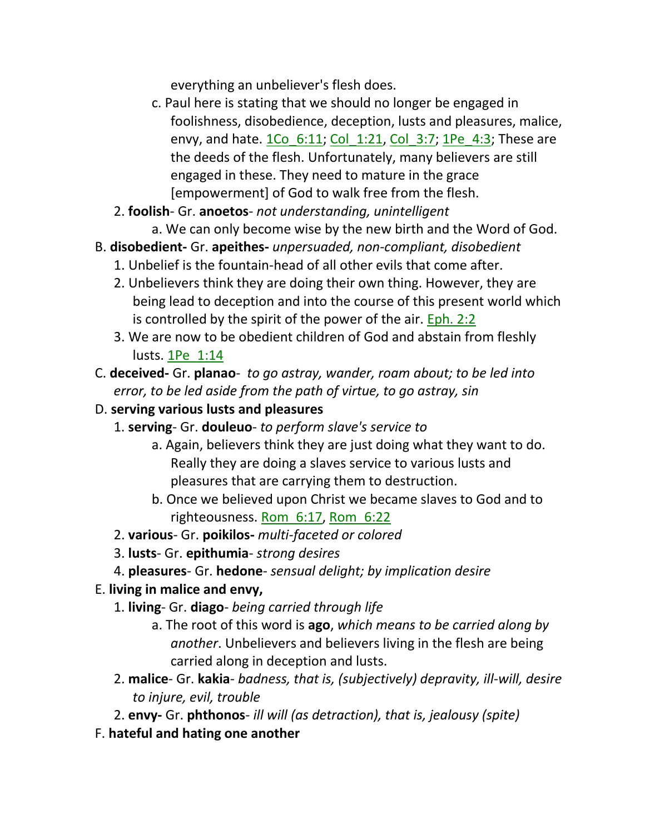everything an unbeliever's flesh does.

- c. Paul here is stating that we should no longer be engaged in foolishness, disobedience, deception, lusts and pleasures, malice, envy, and hate.  $1Co_6:11; Col_1:21, Col_3:7; 1Pe_4:3;$  These are the deeds of the flesh. Unfortunately, many believers are still engaged in these. They need to mature in the grace [empowerment] of God to walk free from the flesh.
- 2. **foolish** Gr. **anoetos** *not understanding, unintelligent*
	- a. We can only become wise by the new birth and the Word of God.
- B. **disobedient-** Gr. **apeithes-** *unpersuaded, non-compliant, disobedient*
	- 1. Unbelief is the fountain-head of all other evils that come after.
	- 2. Unbelievers think they are doing their own thing. However, they are being lead to deception and into the course of this present world which is controlled by the spirit of the power of the air. Eph. 2:2
	- 3. We are now to be obedient children of God and abstain from fleshly lusts. 1Pe\_1:14
- C. **deceived-** Gr. **planao** *to go astray, wander, roam about; to be led into error, to be led aside from the path of virtue, to go astray, sin*
- D. **serving various lusts and pleasures**
	- 1. **serving** Gr. **douleuo** *to perform slave's service to*
		- a. Again, believers think they are just doing what they want to do. Really they are doing a slaves service to various lusts and pleasures that are carrying them to destruction.
		- b. Once we believed upon Christ we became slaves to God and to righteousness. Rom\_6:17, Rom\_6:22
	- 2. **various** Gr. **poikilos-** *multi-faceted or colored*
	- 3. **lusts** Gr. **epithumia** *strong desires*
	- 4. **pleasures** Gr. **hedone** *sensual delight; by implication desire*
- E. **living in malice and envy,**
	- 1. **living** Gr. **diago** *being carried through life*
		- a. The root of this word is **ago**, *which means to be carried along by another*. Unbelievers and believers living in the flesh are being carried along in deception and lusts.
	- 2. **malice** Gr. **kakia** *badness, that is, (subjectively) depravity, ill-will, desire to injure, evil, trouble*
	- 2. **envy-** Gr. **phthonos** *ill will (as detraction), that is, jealousy (spite)*
- F. **hateful and hating one another**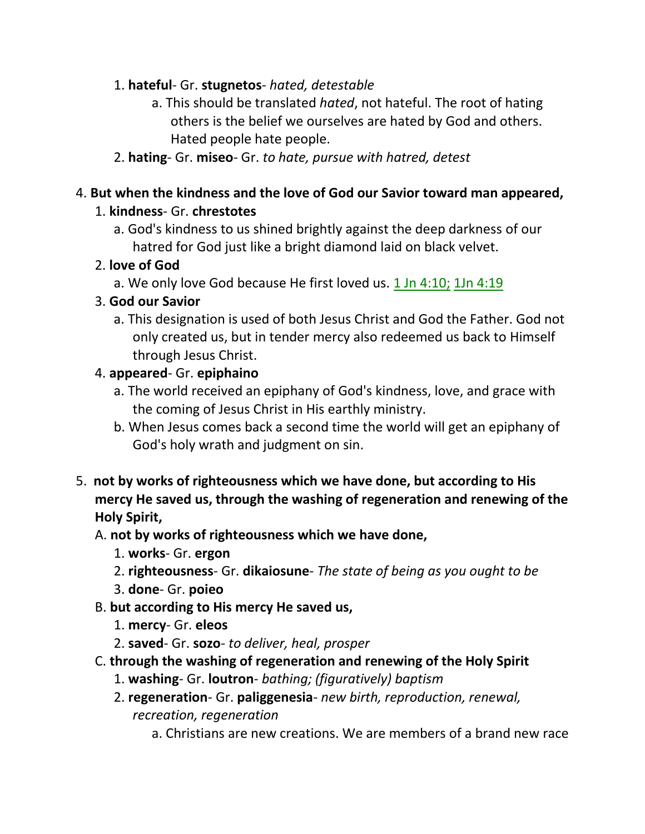### 1. **hateful**- Gr. **stugnetos**- *hated, detestable*

- a. This should be translated *hated*, not hateful. The root of hating others is the belief we ourselves are hated by God and others. Hated people hate people.
- 2. **hating** Gr. **miseo** Gr. *to hate, pursue with hatred, detest*

### 4. **But when the kindness and the love of God our Savior toward man appeared,**

### 1. **kindness**- Gr. **chrestotes**

a. God's kindness to us shined brightly against the deep darkness of our hatred for God just like a bright diamond laid on black velvet.

### 2. **love of God**

a. We only love God because He first loved us. 1 Jn 4:10; 1Jn 4:19

## 3. **God our Savior**

a. This designation is used of both Jesus Christ and God the Father. God not only created us, but in tender mercy also redeemed us back to Himself through Jesus Christ.

## 4. **appeared**- Gr. **epiphaino**

- a. The world received an epiphany of God's kindness, love, and grace with the coming of Jesus Christ in His earthly ministry.
- b. When Jesus comes back a second time the world will get an epiphany of God's holy wrath and judgment on sin.
- 5. **not by works of righteousness which we have done, but according to His mercy He saved us, through the washing of regeneration and renewing of the Holy Spirit,**

## A. **not by works of righteousness which we have done,**

- 1. **works** Gr. **ergon**
- 2. **righteousness** Gr. **dikaiosune** *The state of being as you ought to be*
- 3. **done** Gr. **poieo**
- B. **but according to His mercy He saved us,**
	- 1. **mercy** Gr. **eleos**
	- 2. **saved** Gr. **sozo** *to deliver, heal, prosper*
- C. **through the washing of regeneration and renewing of the Holy Spirit**
	- 1. **washing** Gr. **loutron** *bathing; (figuratively) baptism*
	- 2. **regeneration** Gr. **paliggenesia** *new birth, reproduction, renewal, recreation, regeneration*
		- a. Christians are new creations. We are members of a brand new race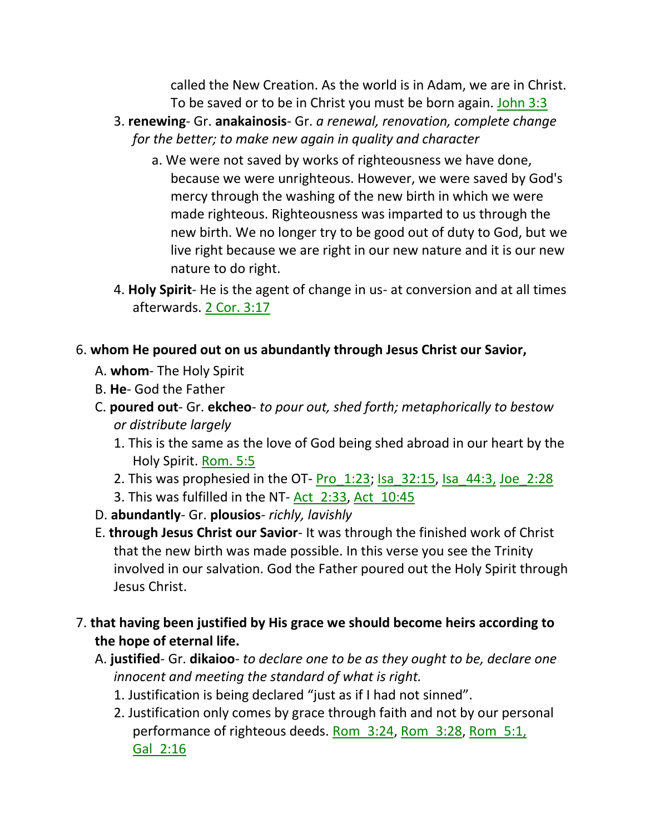called the New Creation. As the world is in Adam, we are in Christ. To be saved or to be in Christ you must be born again. John 3:3

- 3. **renewing** Gr. **anakainosis** Gr. *a renewal, renovation, complete change for the better; to make new again in quality and character*
	- a. We were not saved by works of righteousness we have done, because we were unrighteous. However, we were saved by God's mercy through the washing of the new birth in which we were made righteous. Righteousness was imparted to us through the new birth. We no longer try to be good out of duty to God, but we live right because we are right in our new nature and it is our new nature to do right.
- 4. **Holy Spirit** He is the agent of change in us- at conversion and at all times afterwards. 2 Cor. 3:17

### 6. **whom He poured out on us abundantly through Jesus Christ our Savior,**

- A. **whom** The Holy Spirit
- B. **He** God the Father
- C. **poured out** Gr. **ekcheo** *to pour out, shed forth; metaphorically to bestow or distribute largely*
	- 1. This is the same as the love of God being shed abroad in our heart by the Holy Spirit. Rom. 5:5
	- 2. This was prophesied in the OT- Pro  $1:23$ ; Isa  $32:15$ , Isa  $44:3$ , Joe  $2:28$
	- 3. This was fulfilled in the NT- Act 2:33, Act 10:45
- D. **abundantly** Gr. **plousios** *richly, lavishly*
- E. **through Jesus Christ our Savior** It was through the finished work of Christ that the new birth was made possible. In this verse you see the Trinity involved in our salvation. God the Father poured out the Holy Spirit through Jesus Christ.
- 7. **that having been justified by His grace we should become heirs according to the hope of eternal life.** 
	- A. **justified** Gr. **dikaioo** *to declare one to be as they ought to be, declare one innocent and meeting the standard of what is right.*
		- 1. Justification is being declared "just as if I had not sinned".
		- 2. Justification only comes by grace through faith and not by our personal performance of righteous deeds. Rom\_3:24, Rom\_3:28, Rom\_5:1, Gal\_2:16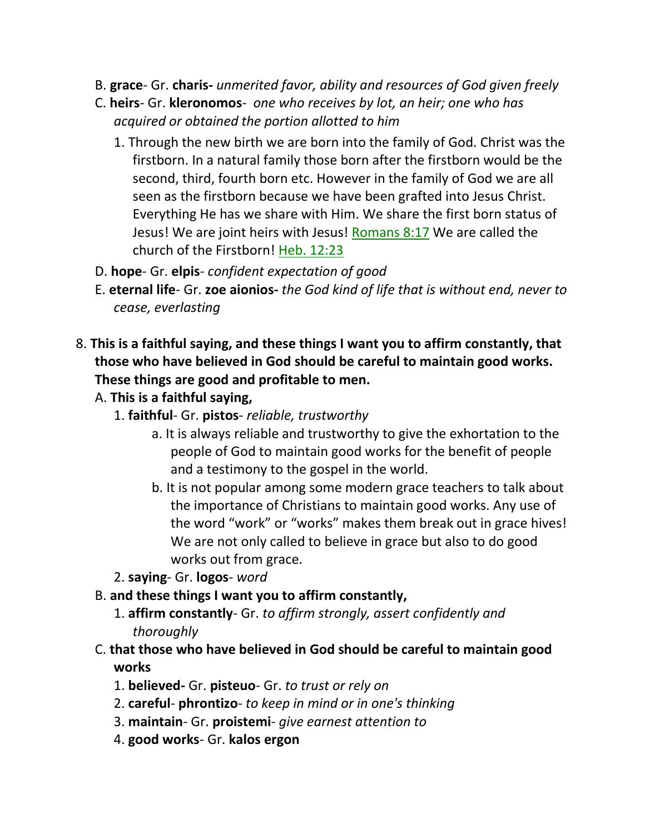- B. **grace** Gr. **charis-** *unmerited favor, ability and resources of God given freely*
- C. **heirs** Gr. **kleronomos** *one who receives by lot, an heir; one who has acquired or obtained the portion allotted to him*
	- 1. Through the new birth we are born into the family of God. Christ was the firstborn. In a natural family those born after the firstborn would be the second, third, fourth born etc. However in the family of God we are all seen as the firstborn because we have been grafted into Jesus Christ. Everything He has we share with Him. We share the first born status of Jesus! We are joint heirs with Jesus! Romans 8:17 We are called the church of the Firstborn! Heb. 12:23
- D. **hope** Gr. **elpis** *confident expectation of good*
- E. **eternal life** Gr. **zoe aionios-** *the God kind of life that is without end, never to cease, everlasting*
- 8. **This is a faithful saying, and these things I want you to affirm constantly, that those who have believed in God should be careful to maintain good works. These things are good and profitable to men.** 
	- A. **This is a faithful saying,**
		- 1. **faithful** Gr. **pistos** *reliable, trustworthy*
			- a. It is always reliable and trustworthy to give the exhortation to the people of God to maintain good works for the benefit of people and a testimony to the gospel in the world.
			- b. It is not popular among some modern grace teachers to talk about the importance of Christians to maintain good works. Any use of the word "work" or "works" makes them break out in grace hives! We are not only called to believe in grace but also to do good works out from grace.
		- 2. **saying** Gr. **logos** *word*
	- B. **and these things I want you to affirm constantly,**
		- 1. **affirm constantly** Gr. *to affirm strongly, assert confidently and thoroughly*
	- C. **that those who have believed in God should be careful to maintain good works**
		- 1. **believed-** Gr. **pisteuo** Gr. *to trust or rely on*
		- 2. **careful phrontizo** *to keep in mind or in one's thinking*
		- 3. **maintain** Gr. **proistemi** *give earnest attention to*
		- 4. **good works** Gr. **kalos ergon**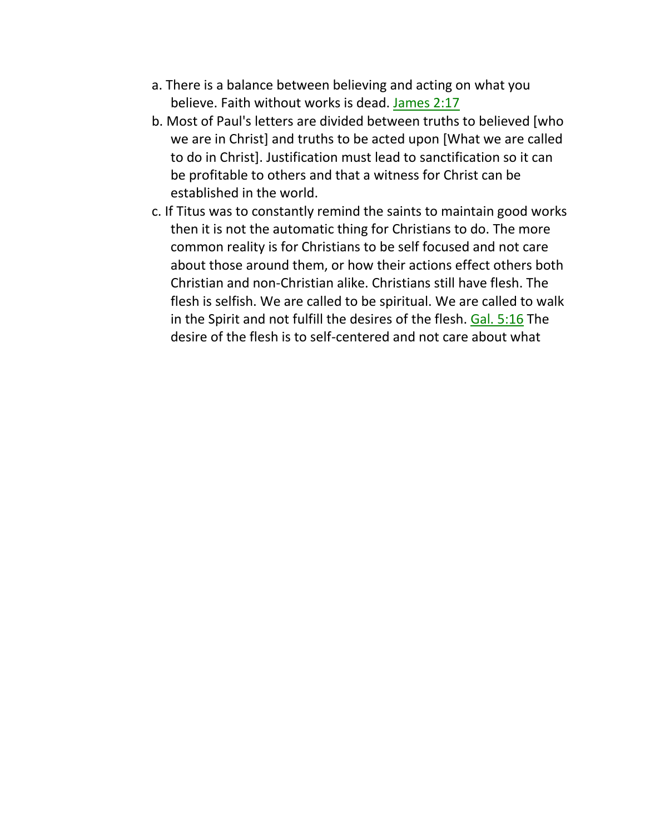- a. There is a balance between believing and acting on what you believe. Faith without works is dead. James 2:17
- b. Most of Paul's letters are divided between truths to believed [who we are in Christ] and truths to be acted upon [What we are called to do in Christ]. Justification must lead to sanctification so it can be profitable to others and that a witness for Christ can be established in the world.
- c. If Titus was to constantly remind the saints to maintain good works then it is not the automatic thing for Christians to do. The more common reality is for Christians to be self focused and not care about those around them, or how their actions effect others both Christian and non-Christian alike. Christians still have flesh. The flesh is selfish. We are called to be spiritual. We are called to walk in the Spirit and not fulfill the desires of the flesh. Gal. 5:16 The desire of the flesh is to self-centered and not care about what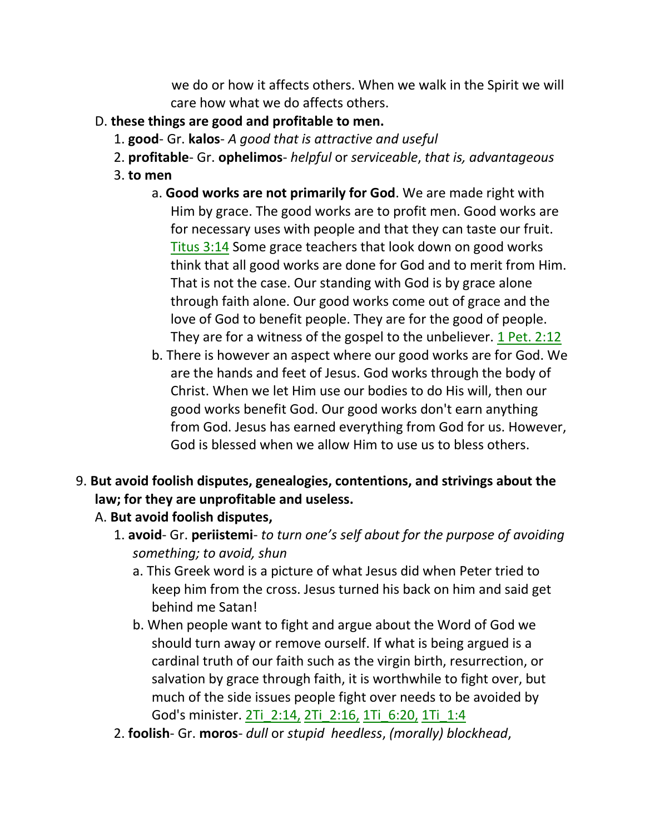we do or how it affects others. When we walk in the Spirit we will care how what we do affects others.

- D. **these things are good and profitable to men.**
	- 1. **good** Gr. **kalos** *A good that is attractive and useful*
	- 2. **profitable** Gr. **ophelimos** *helpful* or *serviceable*, *that is, advantageous*
	- 3. **to men**
		- a. **Good works are not primarily for God**. We are made right with Him by grace. The good works are to profit men. Good works are for necessary uses with people and that they can taste our fruit. Titus 3:14 Some grace teachers that look down on good works think that all good works are done for God and to merit from Him. That is not the case. Our standing with God is by grace alone through faith alone. Our good works come out of grace and the love of God to benefit people. They are for the good of people. They are for a witness of the gospel to the unbeliever. 1 Pet. 2:12
		- b. There is however an aspect where our good works are for God. We are the hands and feet of Jesus. God works through the body of Christ. When we let Him use our bodies to do His will, then our good works benefit God. Our good works don't earn anything from God. Jesus has earned everything from God for us. However, God is blessed when we allow Him to use us to bless others.
- 9. **But avoid foolish disputes, genealogies, contentions, and strivings about the law; for they are unprofitable and useless.** 
	- A. **But avoid foolish disputes,**
		- 1. **avoid** Gr. **periistemi** *to turn one's self about for the purpose of avoiding something; to avoid, shun*
			- a. This Greek word is a picture of what Jesus did when Peter tried to keep him from the cross. Jesus turned his back on him and said get behind me Satan!
			- b. When people want to fight and argue about the Word of God we should turn away or remove ourself. If what is being argued is a cardinal truth of our faith such as the virgin birth, resurrection, or salvation by grace through faith, it is worthwhile to fight over, but much of the side issues people fight over needs to be avoided by God's minister. 2Ti\_2:14, 2Ti\_2:16, 1Ti\_6:20, 1Ti\_1:4
		- 2. **foolish** Gr. **moros** *dull* or *stupid heedless*, *(morally) blockhead*,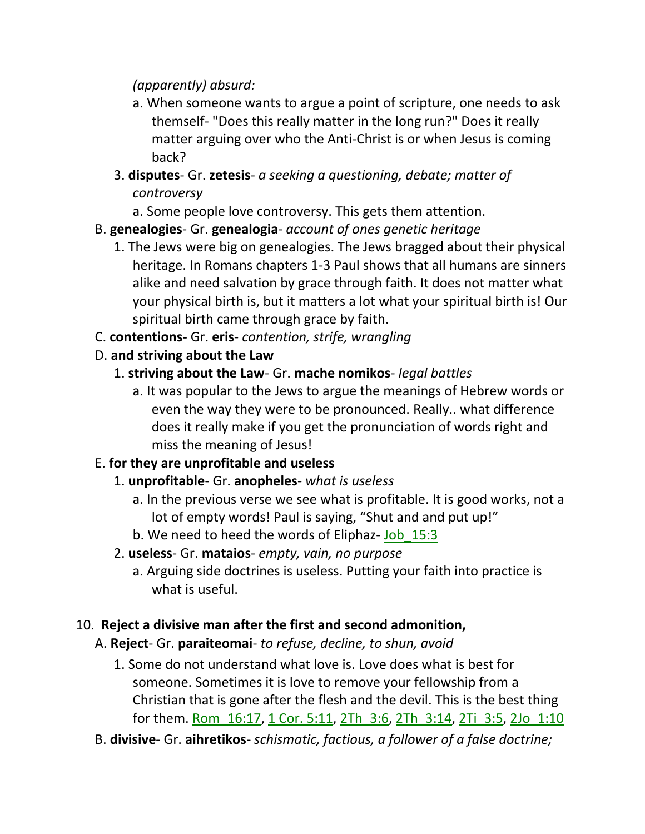### *(apparently) absurd:*

- a. When someone wants to argue a point of scripture, one needs to ask themself- "Does this really matter in the long run?" Does it really matter arguing over who the Anti-Christ is or when Jesus is coming back?
- 3. **disputes** Gr. **zetesis** *a seeking a questioning, debate; matter of controversy*
	- a. Some people love controversy. This gets them attention.
- B. **genealogies** Gr. **genealogia** *account of ones genetic heritage*
	- 1. The Jews were big on genealogies. The Jews bragged about their physical heritage. In Romans chapters 1-3 Paul shows that all humans are sinners alike and need salvation by grace through faith. It does not matter what your physical birth is, but it matters a lot what your spiritual birth is! Our spiritual birth came through grace by faith.
- C. **contentions-** Gr. **eris** *contention, strife, wrangling*
- D. **and striving about the Law**
	- 1. **striving about the Law** Gr. **mache nomikos** *legal battles*
		- a. It was popular to the Jews to argue the meanings of Hebrew words or even the way they were to be pronounced. Really.. what difference does it really make if you get the pronunciation of words right and miss the meaning of Jesus!

# E. **for they are unprofitable and useless**

- 1. **unprofitable** Gr. **anopheles** *what is useless*
	- a. In the previous verse we see what is profitable. It is good works, not a lot of empty words! Paul is saying, "Shut and and put up!"
	- b. We need to heed the words of Eliphaz- Job\_15:3
- 2. **useless** Gr. **mataios** *empty, vain, no purpose*
	- a. Arguing side doctrines is useless. Putting your faith into practice is what is useful.

# 10. **Reject a divisive man after the first and second admonition,**

- A. **Reject** Gr. **paraiteomai** *to refuse, decline, to shun, avoid* 
	- 1. Some do not understand what love is. Love does what is best for someone. Sometimes it is love to remove your fellowship from a Christian that is gone after the flesh and the devil. This is the best thing for them. Rom\_16:17, 1 Cor. 5:11, 2Th\_3:6, 2Th\_3:14, 2Ti\_3:5, 2Jo\_1:10
- B. **divisive** Gr. **aihretikos** *schismatic, factious, a follower of a false doctrine;*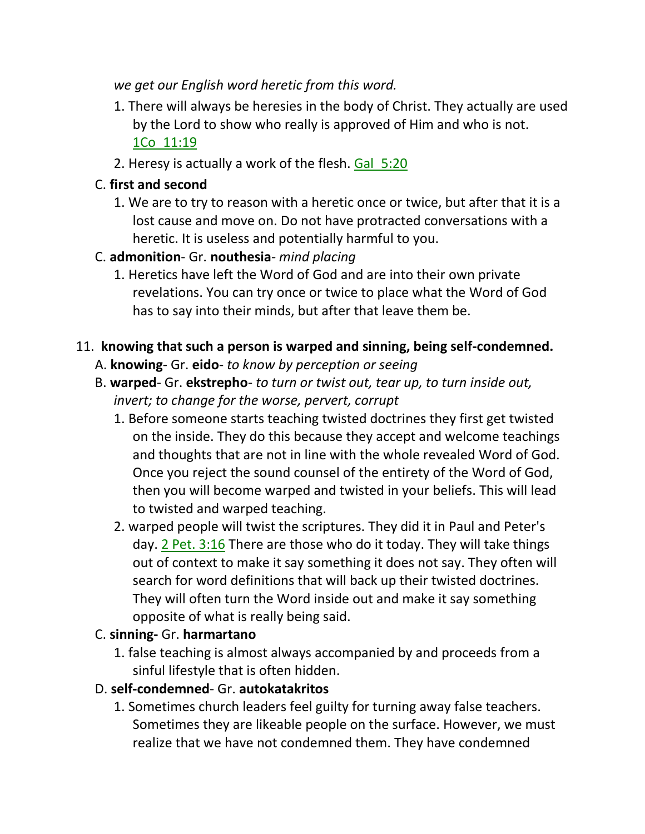*we get our English word heretic from this word.*

- 1. There will always be heresies in the body of Christ. They actually are used by the Lord to show who really is approved of Him and who is not. 1Co\_11:19
- 2. Heresy is actually a work of the flesh. Gal\_5:20

# C. **first and second**

- 1. We are to try to reason with a heretic once or twice, but after that it is a lost cause and move on. Do not have protracted conversations with a heretic. It is useless and potentially harmful to you.
- C. **admonition** Gr. **nouthesia** *mind placing*
	- 1. Heretics have left the Word of God and are into their own private revelations. You can try once or twice to place what the Word of God has to say into their minds, but after that leave them be.

## 11. **knowing that such a person is warped and sinning, being self-condemned.**

- A. **knowing** Gr. **eido** *to know by perception or seeing*
- B. **warped** Gr. **ekstrepho** *to turn or twist out, tear up, to turn inside out, invert; to change for the worse, pervert, corrupt*
	- 1. Before someone starts teaching twisted doctrines they first get twisted on the inside. They do this because they accept and welcome teachings and thoughts that are not in line with the whole revealed Word of God. Once you reject the sound counsel of the entirety of the Word of God, then you will become warped and twisted in your beliefs. This will lead to twisted and warped teaching.
	- 2. warped people will twist the scriptures. They did it in Paul and Peter's day. 2 Pet. 3:16 There are those who do it today. They will take things out of context to make it say something it does not say. They often will search for word definitions that will back up their twisted doctrines. They will often turn the Word inside out and make it say something opposite of what is really being said.

# C. **sinning-** Gr. **harmartano**

1. false teaching is almost always accompanied by and proceeds from a sinful lifestyle that is often hidden.

# D. **self-condemned**- Gr. **autokatakritos**

1. Sometimes church leaders feel guilty for turning away false teachers. Sometimes they are likeable people on the surface. However, we must realize that we have not condemned them. They have condemned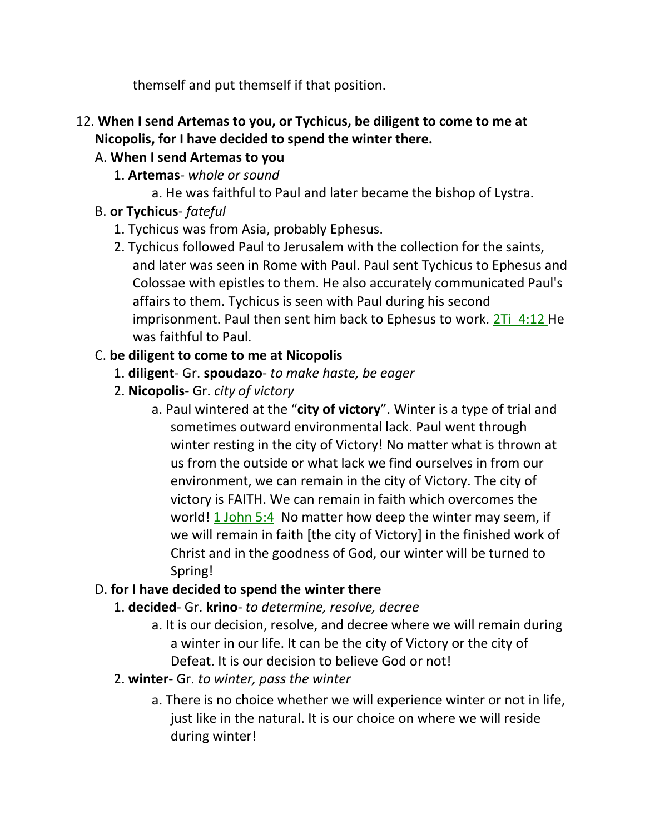themself and put themself if that position.

12. **When I send Artemas to you, or Tychicus, be diligent to come to me at Nicopolis, for I have decided to spend the winter there.**

## A. **When I send Artemas to you**

- 1. **Artemas** *whole or sound*
	- a. He was faithful to Paul and later became the bishop of Lystra.

# B. **or Tychicus**- *fateful*

- 1. Tychicus was from Asia, probably Ephesus.
- 2. Tychicus followed Paul to Jerusalem with the collection for the saints, and later was seen in Rome with Paul. Paul sent Tychicus to Ephesus and Colossae with epistles to them. He also accurately communicated Paul's affairs to them. Tychicus is seen with Paul during his second imprisonment. Paul then sent him back to Ephesus to work. 2Ti 4:12 He was faithful to Paul.

# C. **be diligent to come to me at Nicopolis**

- 1. **diligent** Gr. **spoudazo** *to make haste, be eager*
- 2. **Nicopolis** Gr. *city of victory*
	- a. Paul wintered at the "**city of victory**". Winter is a type of trial and sometimes outward environmental lack. Paul went through winter resting in the city of Victory! No matter what is thrown at us from the outside or what lack we find ourselves in from our environment, we can remain in the city of Victory. The city of victory is FAITH. We can remain in faith which overcomes the world! 1 John 5:4 No matter how deep the winter may seem, if we will remain in faith [the city of Victory] in the finished work of Christ and in the goodness of God, our winter will be turned to Spring!

# D. **for I have decided to spend the winter there**

- 1. **decided** Gr. **krino** *to determine, resolve, decree*
	- a. It is our decision, resolve, and decree where we will remain during a winter in our life. It can be the city of Victory or the city of Defeat. It is our decision to believe God or not!
- 2. **winter** Gr. *to winter, pass the winter*
	- a. There is no choice whether we will experience winter or not in life, just like in the natural. It is our choice on where we will reside during winter!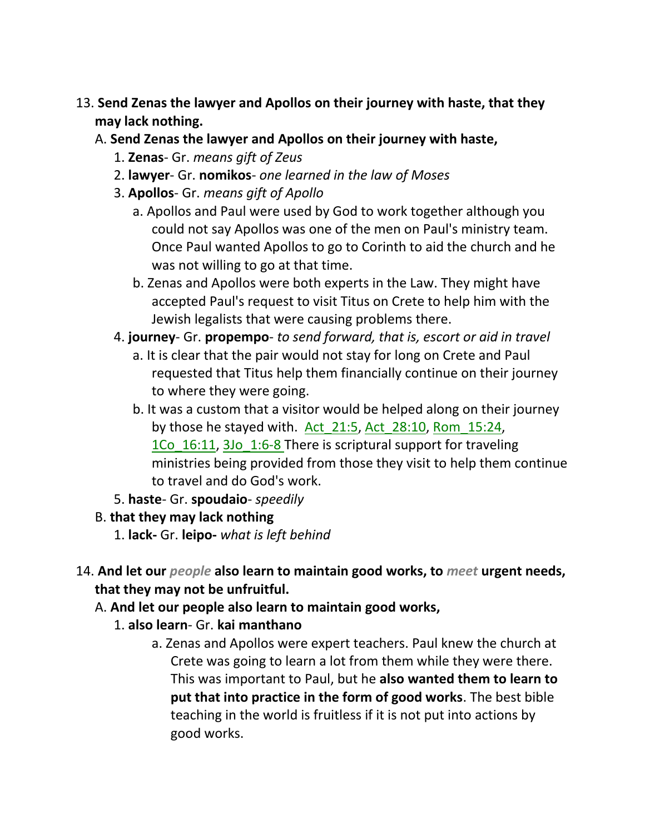- 13. **Send Zenas the lawyer and Apollos on their journey with haste, that they may lack nothing.** 
	- A. **Send Zenas the lawyer and Apollos on their journey with haste,**
		- 1. **Zenas** Gr. *means gift of Zeus*
		- 2. **lawyer** Gr. **nomikos** *one learned in the law of Moses*
		- 3. **Apollos** Gr. *means gift of Apollo*
			- a. Apollos and Paul were used by God to work together although you could not say Apollos was one of the men on Paul's ministry team. Once Paul wanted Apollos to go to Corinth to aid the church and he was not willing to go at that time.
			- b. Zenas and Apollos were both experts in the Law. They might have accepted Paul's request to visit Titus on Crete to help him with the Jewish legalists that were causing problems there.
		- 4. **journey** Gr. **propempo** *to send forward, that is, escort or aid in travel*
			- a. It is clear that the pair would not stay for long on Crete and Paul requested that Titus help them financially continue on their journey to where they were going.
			- b. It was a custom that a visitor would be helped along on their journey by those he stayed with. Act  $21:5$ , Act  $28:10$ , Rom  $15:24$ , 1Co 16:11, 3Jo 1:6-8 There is scriptural support for traveling ministries being provided from those they visit to help them continue to travel and do God's work.
		- 5. **haste** Gr. **spoudaio** *speedily*
	- B. **that they may lack nothing**
		- 1. **lack-** Gr. **leipo-** *what is left behind*
- 14. **And let our** *people* **also learn to maintain good works, to** *meet* **urgent needs, that they may not be unfruitful.** 
	- A. **And let our people also learn to maintain good works,**
		- 1. **also learn** Gr. **kai manthano**
			- a. Zenas and Apollos were expert teachers. Paul knew the church at Crete was going to learn a lot from them while they were there. This was important to Paul, but he **also wanted them to learn to put that into practice in the form of good works**. The best bible teaching in the world is fruitless if it is not put into actions by good works.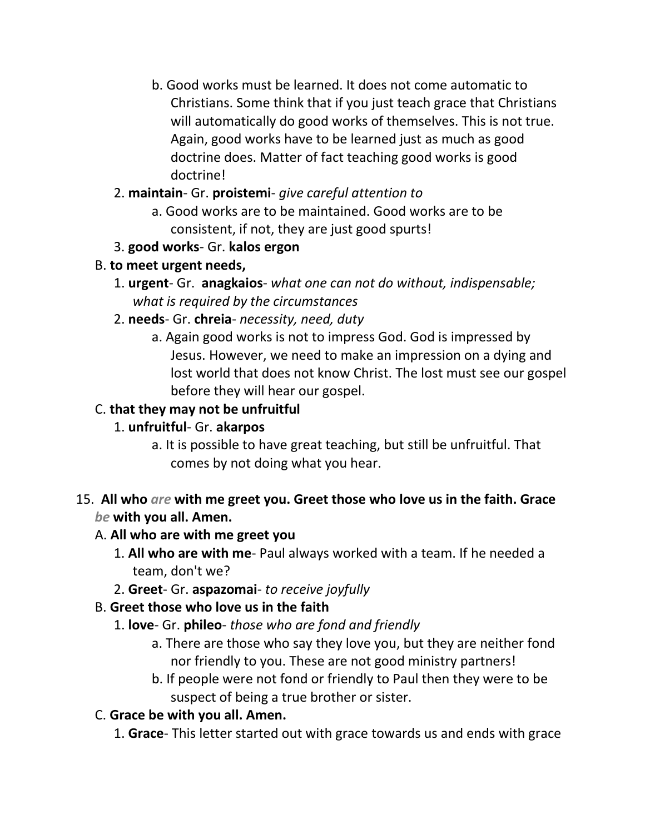b. Good works must be learned. It does not come automatic to Christians. Some think that if you just teach grace that Christians will automatically do good works of themselves. This is not true. Again, good works have to be learned just as much as good doctrine does. Matter of fact teaching good works is good doctrine!

### 2. **maintain**- Gr. **proistemi**- *give careful attention to*

- a. Good works are to be maintained. Good works are to be consistent, if not, they are just good spurts!
- 3. **good works** Gr. **kalos ergon**

### B. **to meet urgent needs,**

- 1. **urgent** Gr. **anagkaios** *what one can not do without, indispensable; what is required by the circumstances*
- 2. **needs** Gr. **chreia** *necessity, need, duty*
	- a. Again good works is not to impress God. God is impressed by Jesus. However, we need to make an impression on a dying and lost world that does not know Christ. The lost must see our gospel before they will hear our gospel.

## C. **that they may not be unfruitful**

## 1. **unfruitful**- Gr. **akarpos**

a. It is possible to have great teaching, but still be unfruitful. That comes by not doing what you hear.

### 15. **All who** *are* **with me greet you. Greet those who love us in the faith. Grace**  *be* **with you all. Amen.**

### A. **All who are with me greet you**

- 1. **All who are with me** Paul always worked with a team. If he needed a team, don't we?
- 2. **Greet** Gr. **aspazomai** *to receive joyfully*

## B. **Greet those who love us in the faith**

- 1. **love** Gr. **phileo** *those who are fond and friendly*
	- a. There are those who say they love you, but they are neither fond nor friendly to you. These are not good ministry partners!
	- b. If people were not fond or friendly to Paul then they were to be suspect of being a true brother or sister.

## C. **Grace be with you all. Amen.**

1. **Grace**- This letter started out with grace towards us and ends with grace